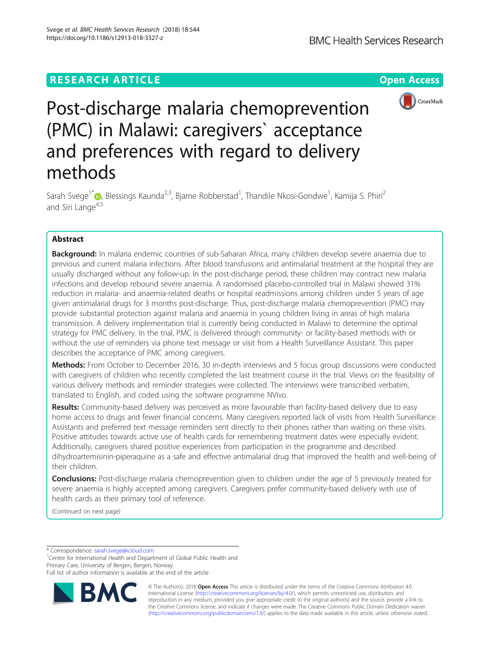# **RESEARCH ARTICLE Example 2018 CONSIDERING A RESEARCH ARTICLE**



# Post-discharge malaria chemoprevention (PMC) in Malawi: caregivers` acceptance and preferences with regard to delivery methods

Sarah Svege<sup>1\*</sup>®, Blessings Kaunda<sup>2,3</sup>, Bjarne Robberstad<sup>1</sup>, Thandile Nkosi-Gondwe<sup>1</sup>, Kamija S. Phiri<sup>2</sup> and Siri Lange<sup>4,5</sup>

# Abstract

**Background:** In malaria endemic countries of sub-Saharan Africa, many children develop severe anaemia due to previous and current malaria infections. After blood transfusions and antimalarial treatment at the hospital they are usually discharged without any follow-up. In the post-discharge period, these children may contract new malaria infections and develop rebound severe anaemia. A randomised placebo-controlled trial in Malawi showed 31% reduction in malaria- and anaemia-related deaths or hospital readmissions among children under 5 years of age given antimalarial drugs for 3 months post-discharge. Thus, post-discharge malaria chemoprevention (PMC) may provide substantial protection against malaria and anaemia in young children living in areas of high malaria transmission. A delivery implementation trial is currently being conducted in Malawi to determine the optimal strategy for PMC delivery. In the trial, PMC is delivered through community- or facility-based methods with or without the use of reminders via phone text message or visit from a Health Surveillance Assistant. This paper describes the acceptance of PMC among caregivers.

Methods: From October to December 2016, 30 in-depth interviews and 5 focus group discussions were conducted with caregivers of children who recently completed the last treatment course in the trial. Views on the feasibility of various delivery methods and reminder strategies were collected. The interviews were transcribed verbatim, translated to English, and coded using the software programme NVivo.

Results: Community-based delivery was perceived as more favourable than facility-based delivery due to easy home access to drugs and fewer financial concerns. Many caregivers reported lack of visits from Health Surveillance Assistants and preferred text message reminders sent directly to their phones rather than waiting on these visits. Positive attitudes towards active use of health cards for remembering treatment dates were especially evident. Additionally, caregivers shared positive experiences from participation in the programme and described dihydroartemisinin-piperaquine as a safe and effective antimalarial drug that improved the health and well-being of their children.

**Conclusions:** Post-discharge malaria chemoprevention given to children under the age of 5 previously treated for severe anaemia is highly accepted among caregivers. Caregivers prefer community-based delivery with use of health cards as their primary tool of reference.

(Continued on next page)

\* Correspondence: [sarah.svege@icloud.com](mailto:sarah.svege@icloud.com) <sup>1</sup>

<sup>1</sup> Centre for International Health and Department of Global Public Health and Primary Care, University of Bergen, Bergen, Norway

Full list of author information is available at the end of the article



© The Author(s). 2018 Open Access This article is distributed under the terms of the Creative Commons Attribution 4.0 International License [\(http://creativecommons.org/licenses/by/4.0/](http://creativecommons.org/licenses/by/4.0/)), which permits unrestricted use, distribution, and reproduction in any medium, provided you give appropriate credit to the original author(s) and the source, provide a link to the Creative Commons license, and indicate if changes were made. The Creative Commons Public Domain Dedication waiver [\(http://creativecommons.org/publicdomain/zero/1.0/](http://creativecommons.org/publicdomain/zero/1.0/)) applies to the data made available in this article, unless otherwise stated.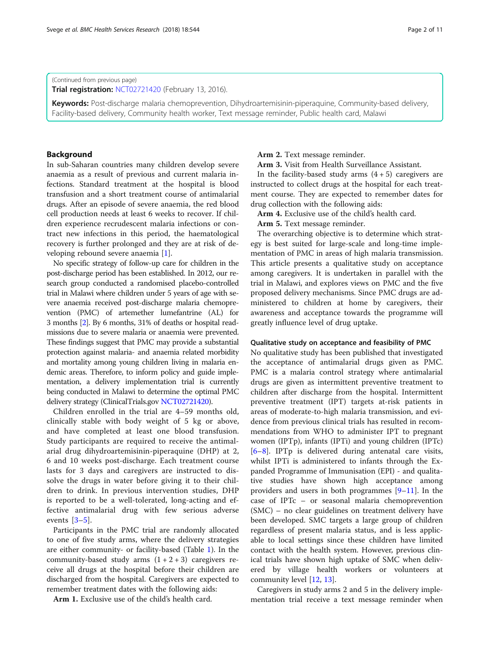# (Continued from previous page)

**Trial registration: [NCT02721420](https://clinicaltrials.gov/ct2/show/NCT02721420) (February 13, 2016).** 

Keywords: Post-discharge malaria chemoprevention, Dihydroartemisinin-piperaquine, Community-based delivery, Facility-based delivery, Community health worker, Text message reminder, Public health card, Malawi

# Background

In sub-Saharan countries many children develop severe anaemia as a result of previous and current malaria infections. Standard treatment at the hospital is blood transfusion and a short treatment course of antimalarial drugs. After an episode of severe anaemia, the red blood cell production needs at least 6 weeks to recover. If children experience recrudescent malaria infections or contract new infections in this period, the haematological recovery is further prolonged and they are at risk of developing rebound severe anaemia [\[1](#page-10-0)].

No specific strategy of follow-up care for children in the post-discharge period has been established. In 2012, our research group conducted a randomised placebo-controlled trial in Malawi where children under 5 years of age with severe anaemia received post-discharge malaria chemoprevention (PMC) of artemether lumefantrine (AL) for 3 months [\[2\]](#page-10-0). By 6 months, 31% of deaths or hospital readmissions due to severe malaria or anaemia were prevented. These findings suggest that PMC may provide a substantial protection against malaria- and anaemia related morbidity and mortality among young children living in malaria endemic areas. Therefore, to inform policy and guide implementation, a delivery implementation trial is currently being conducted in Malawi to determine the optimal PMC delivery strategy (ClinicalTrials.gov [NCT02721420\)](https://clinicaltrials.gov/ct2/show/NCT02721420).

Children enrolled in the trial are 4–59 months old, clinically stable with body weight of 5 kg or above, and have completed at least one blood transfusion. Study participants are required to receive the antimalarial drug dihydroartemisinin-piperaquine (DHP) at 2, 6 and 10 weeks post-discharge. Each treatment course lasts for 3 days and caregivers are instructed to dissolve the drugs in water before giving it to their children to drink. In previous intervention studies, DHP is reported to be a well-tolerated, long-acting and effective antimalarial drug with few serious adverse events  $[3-5]$  $[3-5]$  $[3-5]$  $[3-5]$ .

Participants in the PMC trial are randomly allocated to one of five study arms, where the delivery strategies are either community- or facility-based (Table [1\)](#page-2-0). In the community-based study arms  $(1 + 2 + 3)$  caregivers receive all drugs at the hospital before their children are discharged from the hospital. Caregivers are expected to remember treatment dates with the following aids:

Arm 1. Exclusive use of the child's health card.

#### Arm 2. Text message reminder.

Arm 3. Visit from Health Surveillance Assistant.

In the facility-based study arms  $(4 + 5)$  caregivers are instructed to collect drugs at the hospital for each treatment course. They are expected to remember dates for drug collection with the following aids:

Arm 4. Exclusive use of the child's health card.

Arm 5. Text message reminder.

The overarching objective is to determine which strategy is best suited for large-scale and long-time implementation of PMC in areas of high malaria transmission. This article presents a qualitative study on acceptance among caregivers. It is undertaken in parallel with the trial in Malawi, and explores views on PMC and the five proposed delivery mechanisms. Since PMC drugs are administered to children at home by caregivers, their awareness and acceptance towards the programme will greatly influence level of drug uptake.

#### Qualitative study on acceptance and feasibility of PMC

No qualitative study has been published that investigated the acceptance of antimalarial drugs given as PMC. PMC is a malaria control strategy where antimalarial drugs are given as intermittent preventive treatment to children after discharge from the hospital. Intermittent preventive treatment (IPT) targets at-risk patients in areas of moderate-to-high malaria transmission, and evidence from previous clinical trials has resulted in recommendations from WHO to administer IPT to pregnant women (IPTp), infants (IPTi) and young children (IPTc) [[6](#page-10-0)–[8\]](#page-10-0). IPTp is delivered during antenatal care visits, whilst IPTi is administered to infants through the Expanded Programme of Immunisation (EPI) - and qualitative studies have shown high acceptance among providers and users in both programmes [\[9](#page-10-0)–[11\]](#page-10-0). In the case of IPTc – or seasonal malaria chemoprevention (SMC) – no clear guidelines on treatment delivery have been developed. SMC targets a large group of children regardless of present malaria status, and is less applicable to local settings since these children have limited contact with the health system. However, previous clinical trials have shown high uptake of SMC when delivered by village health workers or volunteers at community level [\[12,](#page-10-0) [13\]](#page-10-0).

Caregivers in study arms 2 and 5 in the delivery implementation trial receive a text message reminder when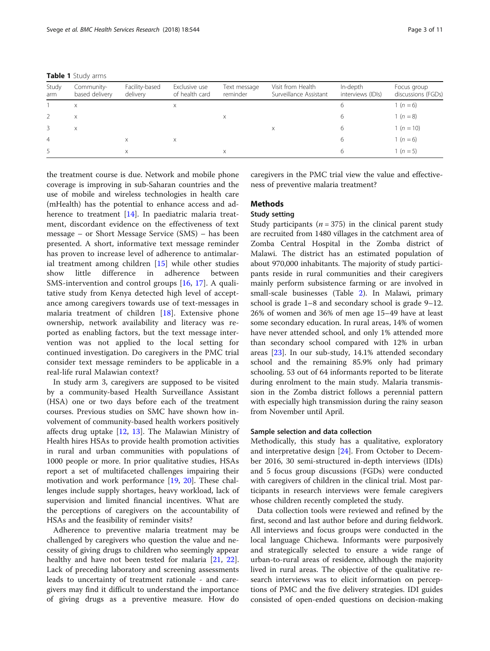<span id="page-2-0"></span>Table 1 Study arms

| Study<br>arm   | Community-<br>based delivery | Facility-based<br>delivery | Exclusive use<br>of health card | Text message<br>reminder | Visit from Health<br>Surveillance Assistant | In-depth<br>interviews (IDIs) | Focus group<br>discussions (FGDs) |
|----------------|------------------------------|----------------------------|---------------------------------|--------------------------|---------------------------------------------|-------------------------------|-----------------------------------|
|                | X                            |                            | Χ                               |                          |                                             |                               | $1(n=6)$                          |
|                | X                            |                            |                                 | X                        |                                             | 6                             | $1(n=8)$                          |
|                | $\times$                     |                            |                                 |                          | X                                           | 6                             | $1(n = 10)$                       |
| $\overline{4}$ |                              | X                          | X                               |                          |                                             | 6                             | $1(n=6)$                          |
|                |                              | X                          |                                 |                          |                                             | 6                             | $1(n=5)$                          |

the treatment course is due. Network and mobile phone coverage is improving in sub-Saharan countries and the use of mobile and wireless technologies in health care (mHealth) has the potential to enhance access and ad-herence to treatment [[14\]](#page-10-0). In paediatric malaria treatment, discordant evidence on the effectiveness of text message – or Short Message Service (SMS) – has been presented. A short, informative text message reminder has proven to increase level of adherence to antimalarial treatment among children [[15\]](#page-10-0) while other studies show little difference in adherence between SMS-intervention and control groups [[16,](#page-10-0) [17](#page-10-0)]. A qualitative study from Kenya detected high level of acceptance among caregivers towards use of text-messages in malaria treatment of children [[18\]](#page-10-0). Extensive phone ownership, network availability and literacy was reported as enabling factors, but the text message intervention was not applied to the local setting for continued investigation. Do caregivers in the PMC trial consider text message reminders to be applicable in a real-life rural Malawian context?

In study arm 3, caregivers are supposed to be visited by a community-based Health Surveillance Assistant (HSA) one or two days before each of the treatment courses. Previous studies on SMC have shown how involvement of community-based health workers positively affects drug uptake [[12](#page-10-0), [13](#page-10-0)]. The Malawian Ministry of Health hires HSAs to provide health promotion activities in rural and urban communities with populations of 1000 people or more. In prior qualitative studies, HSAs report a set of multifaceted challenges impairing their motivation and work performance [\[19,](#page-10-0) [20\]](#page-10-0). These challenges include supply shortages, heavy workload, lack of supervision and limited financial incentives. What are the perceptions of caregivers on the accountability of HSAs and the feasibility of reminder visits?

Adherence to preventive malaria treatment may be challenged by caregivers who question the value and necessity of giving drugs to children who seemingly appear healthy and have not been tested for malaria [[21,](#page-10-0) [22](#page-10-0)]. Lack of preceding laboratory and screening assessments leads to uncertainty of treatment rationale - and caregivers may find it difficult to understand the importance of giving drugs as a preventive measure. How do caregivers in the PMC trial view the value and effectiveness of preventive malaria treatment?

# **Methods**

#### Study setting

Study participants ( $n = 375$ ) in the clinical parent study are recruited from 1480 villages in the catchment area of Zomba Central Hospital in the Zomba district of Malawi. The district has an estimated population of about 970,000 inhabitants. The majority of study participants reside in rural communities and their caregivers mainly perform subsistence farming or are involved in small-scale businesses (Table [2](#page-3-0)). In Malawi, primary school is grade 1–8 and secondary school is grade 9–12. 26% of women and 36% of men age 15–49 have at least some secondary education. In rural areas, 14% of women have never attended school, and only 1% attended more than secondary school compared with 12% in urban areas [[23\]](#page-10-0). In our sub-study, 14.1% attended secondary school and the remaining 85.9% only had primary schooling. 53 out of 64 informants reported to be literate during enrolment to the main study. Malaria transmission in the Zomba district follows a perennial pattern with especially high transmission during the rainy season from November until April.

## Sample selection and data collection

Methodically, this study has a qualitative, exploratory and interpretative design [[24\]](#page-10-0). From October to December 2016, 30 semi-structured in-depth interviews (IDIs) and 5 focus group discussions (FGDs) were conducted with caregivers of children in the clinical trial. Most participants in research interviews were female caregivers whose children recently completed the study.

Data collection tools were reviewed and refined by the first, second and last author before and during fieldwork. All interviews and focus groups were conducted in the local language Chichewa. Informants were purposively and strategically selected to ensure a wide range of urban-to-rural areas of residence, although the majority lived in rural areas. The objective of the qualitative research interviews was to elicit information on perceptions of PMC and the five delivery strategies. IDI guides consisted of open-ended questions on decision-making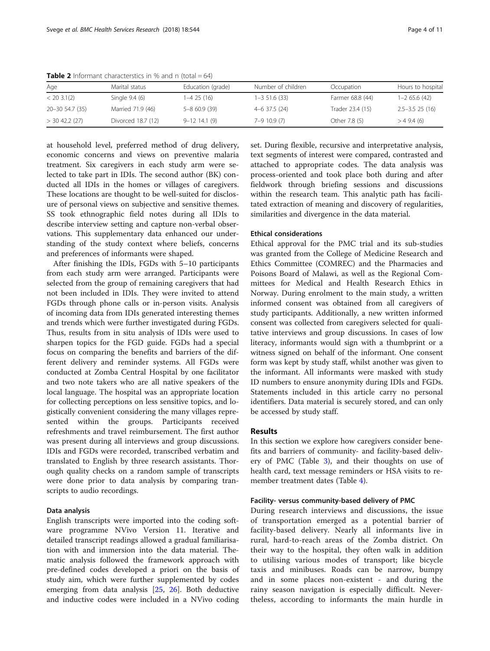| Age              | Marital status     | Education (grade) | Number of children | Occupation       | Hours to hospital   |
|------------------|--------------------|-------------------|--------------------|------------------|---------------------|
| $< 20$ 3.1(2)    | Single 9.4 (6)     | 1-4 25 (16)       | $1 - 351.6(33)$    | Farmer 68.8 (44) | 1-2 65.6 (42)       |
| 20-30 54.7 (35)  | Married 71.9 (46)  | $5 - 860.9(39)$   | $4-6$ 37.5 (24)    | Trader 23.4 (15) | $2.5 - 3.5$ 25 (16) |
| $>$ 30 42.2 (27) | Divorced 18.7 (12) | $9 - 12$ 14.1 (9) | $7 - 9$ 10.9 (7)   | Other 7.8 (5)    | $>4$ 9.4 (6)        |

<span id="page-3-0"></span>**Table 2** Informant characterstics in % and n (total =  $64$ )

at household level, preferred method of drug delivery, economic concerns and views on preventive malaria treatment. Six caregivers in each study arm were selected to take part in IDIs. The second author (BK) conducted all IDIs in the homes or villages of caregivers. These locations are thought to be well-suited for disclosure of personal views on subjective and sensitive themes. SS took ethnographic field notes during all IDIs to describe interview setting and capture non-verbal observations. This supplementary data enhanced our understanding of the study context where beliefs, concerns and preferences of informants were shaped.

After finishing the IDIs, FGDs with 5–10 participants from each study arm were arranged. Participants were selected from the group of remaining caregivers that had not been included in IDIs. They were invited to attend FGDs through phone calls or in-person visits. Analysis of incoming data from IDIs generated interesting themes and trends which were further investigated during FGDs. Thus, results from in situ analysis of IDIs were used to sharpen topics for the FGD guide. FGDs had a special focus on comparing the benefits and barriers of the different delivery and reminder systems. All FGDs were conducted at Zomba Central Hospital by one facilitator and two note takers who are all native speakers of the local language. The hospital was an appropriate location for collecting perceptions on less sensitive topics, and logistically convenient considering the many villages represented within the groups. Participants received refreshments and travel reimbursement. The first author was present during all interviews and group discussions. IDIs and FGDs were recorded, transcribed verbatim and translated to English by three research assistants. Thorough quality checks on a random sample of transcripts were done prior to data analysis by comparing transcripts to audio recordings.

# Data analysis

English transcripts were imported into the coding software programme NVivo Version 11. Iterative and detailed transcript readings allowed a gradual familiarisation with and immersion into the data material. Thematic analysis followed the framework approach with pre-defined codes developed a priori on the basis of study aim, which were further supplemented by codes emerging from data analysis [\[25](#page-10-0), [26\]](#page-10-0). Both deductive and inductive codes were included in a NVivo coding set. During flexible, recursive and interpretative analysis, text segments of interest were compared, contrasted and attached to appropriate codes. The data analysis was process-oriented and took place both during and after fieldwork through briefing sessions and discussions within the research team. This analytic path has facilitated extraction of meaning and discovery of regularities, similarities and divergence in the data material.

# Ethical considerations

Ethical approval for the PMC trial and its sub-studies was granted from the College of Medicine Research and Ethics Committee (COMREC) and the Pharmacies and Poisons Board of Malawi, as well as the Regional Committees for Medical and Health Research Ethics in Norway. During enrolment to the main study, a written informed consent was obtained from all caregivers of study participants. Additionally, a new written informed consent was collected from caregivers selected for qualitative interviews and group discussions. In cases of low literacy, informants would sign with a thumbprint or a witness signed on behalf of the informant. One consent form was kept by study staff, whilst another was given to the informant. All informants were masked with study ID numbers to ensure anonymity during IDIs and FGDs. Statements included in this article carry no personal identifiers. Data material is securely stored, and can only be accessed by study staff.

## Results

In this section we explore how caregivers consider benefits and barriers of community- and facility-based delivery of PMC (Table [3](#page-4-0)), and their thoughts on use of health card, text message reminders or HSA visits to remember treatment dates (Table [4\)](#page-4-0).

#### Facility- versus community-based delivery of PMC

During research interviews and discussions, the issue of transportation emerged as a potential barrier of facility-based delivery. Nearly all informants live in rural, hard-to-reach areas of the Zomba district. On their way to the hospital, they often walk in addition to utilising various modes of transport; like bicycle taxis and minibuses. Roads can be narrow, bumpy and in some places non-existent - and during the rainy season navigation is especially difficult. Nevertheless, according to informants the main hurdle in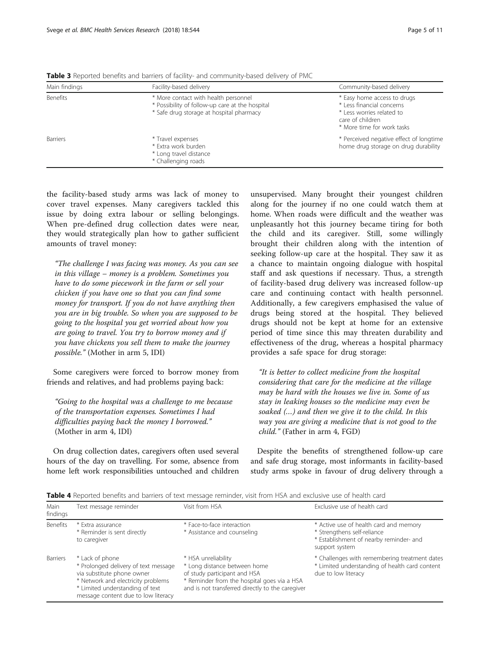| Main findings   | Facility-based delivery                                                                                                             | Community-based delivery                                                                                                                |  |
|-----------------|-------------------------------------------------------------------------------------------------------------------------------------|-----------------------------------------------------------------------------------------------------------------------------------------|--|
| <b>Benefits</b> | * More contact with health personnel<br>* Possibility of follow-up care at the hospital<br>* Safe drug storage at hospital pharmacy | * Easy home access to drugs<br>* Less financial concerns<br>* Less worries related to<br>care of children<br>* More time for work tasks |  |
| <b>Barriers</b> | * Travel expenses<br>* Extra work burden<br>* Long travel distance<br>* Challenging roads                                           | * Perceived negative effect of longtime<br>home drug storage on drug durability                                                         |  |

<span id="page-4-0"></span>Table 3 Reported benefits and barriers of facility- and community-based delivery of PMC

the facility-based study arms was lack of money to cover travel expenses. Many caregivers tackled this issue by doing extra labour or selling belongings. When pre-defined drug collection dates were near, they would strategically plan how to gather sufficient amounts of travel money:

"The challenge I was facing was money. As you can see in this village – money is a problem. Sometimes you have to do some piecework in the farm or sell your chicken if you have one so that you can find some money for transport. If you do not have anything then you are in big trouble. So when you are supposed to be going to the hospital you get worried about how you are going to travel. You try to borrow money and if you have chickens you sell them to make the journey possible." (Mother in arm 5, IDI)

Some caregivers were forced to borrow money from friends and relatives, and had problems paying back:

"Going to the hospital was a challenge to me because of the transportation expenses. Sometimes I had difficulties paying back the money I borrowed." (Mother in arm 4, IDI)

On drug collection dates, caregivers often used several hours of the day on travelling. For some, absence from home left work responsibilities untouched and children

unsupervised. Many brought their youngest children along for the journey if no one could watch them at home. When roads were difficult and the weather was unpleasantly hot this journey became tiring for both the child and its caregiver. Still, some willingly brought their children along with the intention of seeking follow-up care at the hospital. They saw it as a chance to maintain ongoing dialogue with hospital staff and ask questions if necessary. Thus, a strength of facility-based drug delivery was increased follow-up care and continuing contact with health personnel. Additionally, a few caregivers emphasised the value of drugs being stored at the hospital. They believed drugs should not be kept at home for an extensive period of time since this may threaten durability and effectiveness of the drug, whereas a hospital pharmacy provides a safe space for drug storage:

"It is better to collect medicine from the hospital considering that care for the medicine at the village may be hard with the houses we live in. Some of us stay in leaking houses so the medicine may even be soaked (…) and then we give it to the child. In this way you are giving a medicine that is not good to the child." (Father in arm 4, FGD)

Despite the benefits of strengthened follow-up care and safe drug storage, most informants in facility-based study arms spoke in favour of drug delivery through a

Table 4 Reported benefits and barriers of text message reminder, visit from HSA and exclusive use of health card

| Main<br>findings | Text message reminder                                                                                                                                                                                 | Visit from HSA                                                                                                                                                                         | Exclusive use of health card                                                                                                       |
|------------------|-------------------------------------------------------------------------------------------------------------------------------------------------------------------------------------------------------|----------------------------------------------------------------------------------------------------------------------------------------------------------------------------------------|------------------------------------------------------------------------------------------------------------------------------------|
| <b>Benefits</b>  | * Extra assurance<br>* Reminder is sent directly<br>to caregiver                                                                                                                                      | * Face-to-face interaction<br>* Assistance and counseling                                                                                                                              | * Active use of health card and memory<br>* Strengthens self-reliance<br>* Establishment of nearby reminder- and<br>support system |
| <b>Barriers</b>  | * Lack of phone<br>* Prolonged delivery of text message<br>via substitute phone owner<br>* Network and electricity problems<br>* Limited understanding of text<br>message content due to low literacy | * HSA unreliability<br>* Long distance between home<br>of study participant and HSA<br>* Reminder from the hospital goes via a HSA<br>and is not transferred directly to the caregiver | * Challenges with remembering treatment dates<br>* Limited understanding of health card content<br>due to low literacy             |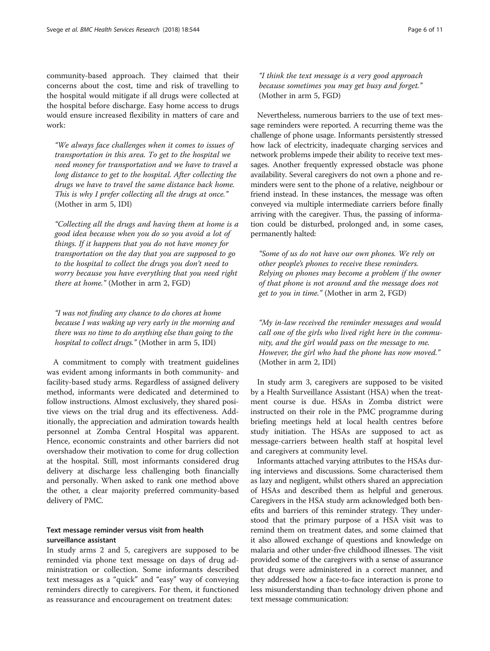community-based approach. They claimed that their concerns about the cost, time and risk of travelling to the hospital would mitigate if all drugs were collected at the hospital before discharge. Easy home access to drugs would ensure increased flexibility in matters of care and work:

"We always face challenges when it comes to issues of transportation in this area. To get to the hospital we need money for transportation and we have to travel a long distance to get to the hospital. After collecting the drugs we have to travel the same distance back home. This is why I prefer collecting all the drugs at once." (Mother in arm 5, IDI)

"Collecting all the drugs and having them at home is a good idea because when you do so you avoid a lot of things. If it happens that you do not have money for transportation on the day that you are supposed to go to the hospital to collect the drugs you don't need to worry because you have everything that you need right there at home." (Mother in arm 2, FGD)

"I was not finding any chance to do chores at home because I was waking up very early in the morning and there was no time to do anything else than going to the hospital to collect drugs." (Mother in arm 5, IDI)

A commitment to comply with treatment guidelines was evident among informants in both community- and facility-based study arms. Regardless of assigned delivery method, informants were dedicated and determined to follow instructions. Almost exclusively, they shared positive views on the trial drug and its effectiveness. Additionally, the appreciation and admiration towards health personnel at Zomba Central Hospital was apparent. Hence, economic constraints and other barriers did not overshadow their motivation to come for drug collection at the hospital. Still, most informants considered drug delivery at discharge less challenging both financially and personally. When asked to rank one method above the other, a clear majority preferred community-based delivery of PMC.

# Text message reminder versus visit from health surveillance assistant

In study arms 2 and 5, caregivers are supposed to be reminded via phone text message on days of drug administration or collection. Some informants described text messages as a "quick" and "easy" way of conveying reminders directly to caregivers. For them, it functioned as reassurance and encouragement on treatment dates:

"I think the text message is a very good approach because sometimes you may get busy and forget." (Mother in arm 5, FGD)

Nevertheless, numerous barriers to the use of text message reminders were reported. A recurring theme was the challenge of phone usage. Informants persistently stressed how lack of electricity, inadequate charging services and network problems impede their ability to receive text messages. Another frequently expressed obstacle was phone availability. Several caregivers do not own a phone and reminders were sent to the phone of a relative, neighbour or friend instead. In these instances, the message was often conveyed via multiple intermediate carriers before finally arriving with the caregiver. Thus, the passing of information could be disturbed, prolonged and, in some cases, permanently halted:

"Some of us do not have our own phones. We rely on other people's phones to receive these reminders. Relying on phones may become a problem if the owner of that phone is not around and the message does not get to you in time." (Mother in arm 2, FGD)

"My in-law received the reminder messages and would call one of the girls who lived right here in the community, and the girl would pass on the message to me. However, the girl who had the phone has now moved." (Mother in arm 2, IDI)

In study arm 3, caregivers are supposed to be visited by a Health Surveillance Assistant (HSA) when the treatment course is due. HSAs in Zomba district were instructed on their role in the PMC programme during briefing meetings held at local health centres before study initiation. The HSAs are supposed to act as message-carriers between health staff at hospital level and caregivers at community level.

Informants attached varying attributes to the HSAs during interviews and discussions. Some characterised them as lazy and negligent, whilst others shared an appreciation of HSAs and described them as helpful and generous. Caregivers in the HSA study arm acknowledged both benefits and barriers of this reminder strategy. They understood that the primary purpose of a HSA visit was to remind them on treatment dates, and some claimed that it also allowed exchange of questions and knowledge on malaria and other under-five childhood illnesses. The visit provided some of the caregivers with a sense of assurance that drugs were administered in a correct manner, and they addressed how a face-to-face interaction is prone to less misunderstanding than technology driven phone and text message communication: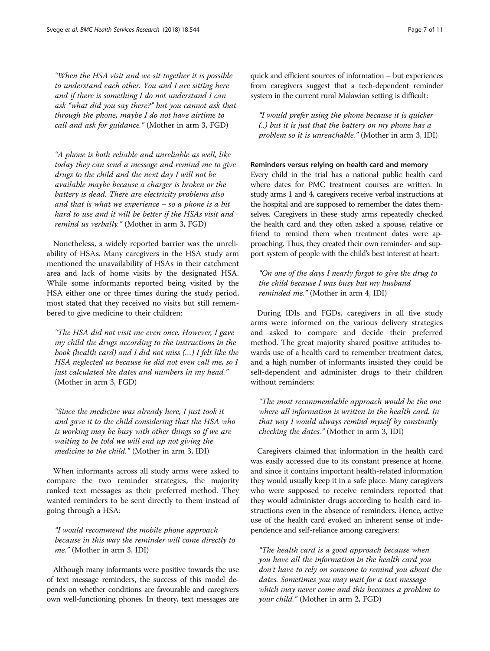"When the HSA visit and we sit together it is possible to understand each other. You and I are sitting here and if there is something I do not understand I can ask "what did you say there?" but you cannot ask that through the phone, maybe I do not have airtime to call and ask for guidance." (Mother in arm 3, FGD)

"A phone is both reliable and unreliable as well, like today they can send a message and remind me to give drugs to the child and the next day I will not be available maybe because a charger is broken or the battery is dead. There are electricity problems also and that is what we experience – so a phone is a bit hard to use and it will be better if the HSAs visit and remind us verbally." (Mother in arm 3, FGD)

Nonetheless, a widely reported barrier was the unreliability of HSAs. Many caregivers in the HSA study arm mentioned the unavailability of HSAs in their catchment area and lack of home visits by the designated HSA. While some informants reported being visited by the HSA either one or three times during the study period, most stated that they received no visits but still remembered to give medicine to their children:

"The HSA did not visit me even once. However, I gave my child the drugs according to the instructions in the book (health card) and I did not miss (…) I felt like the HSA neglected us because he did not even call me, so I just calculated the dates and numbers in my head." (Mother in arm 3, FGD)

"Since the medicine was already here, I just took it and gave it to the child considering that the HSA who is working may be busy with other things so if we are waiting to be told we will end up not giving the medicine to the child." (Mother in arm 3, IDI)

When informants across all study arms were asked to compare the two reminder strategies, the majority ranked text messages as their preferred method. They wanted reminders to be sent directly to them instead of going through a HSA:

"I would recommend the mobile phone approach because in this way the reminder will come directly to me." (Mother in arm 3, IDI)

Although many informants were positive towards the use of text message reminders, the success of this model depends on whether conditions are favourable and caregivers own well-functioning phones. In theory, text messages are

quick and efficient sources of information – but experiences from caregivers suggest that a tech-dependent reminder system in the current rural Malawian setting is difficult:

"I would prefer using the phone because it is quicker (..) but it is just that the battery on my phone has a problem so it is unreachable." (Mother in arm 3, IDI)

# Reminders versus relying on health card and memory

Every child in the trial has a national public health card where dates for PMC treatment courses are written. In study arms 1 and 4, caregivers receive verbal instructions at the hospital and are supposed to remember the dates themselves. Caregivers in these study arms repeatedly checked the health card and they often asked a spouse, relative or friend to remind them when treatment dates were approaching. Thus, they created their own reminder- and support system of people with the child's best interest at heart:

"On one of the days I nearly forgot to give the drug to the child because I was busy but my husband reminded me." (Mother in arm 4, IDI)

During IDIs and FGDs, caregivers in all five study arms were informed on the various delivery strategies and asked to compare and decide their preferred method. The great majority shared positive attitudes towards use of a health card to remember treatment dates, and a high number of informants insisted they could be self-dependent and administer drugs to their children without reminders:

"The most recommendable approach would be the one where all information is written in the health card. In that way I would always remind myself by constantly checking the dates." (Mother in arm 3, IDI)

Caregivers claimed that information in the health card was easily accessed due to its constant presence at home, and since it contains important health-related information they would usually keep it in a safe place. Many caregivers who were supposed to receive reminders reported that they would administer drugs according to health card instructions even in the absence of reminders. Hence, active use of the health card evoked an inherent sense of independence and self-reliance among caregivers:

"The health card is a good approach because when you have all the information in the health card you don't have to rely on someone to remind you about the dates. Sometimes you may wait for a text message which may never come and this becomes a problem to your child." (Mother in arm 2, FGD)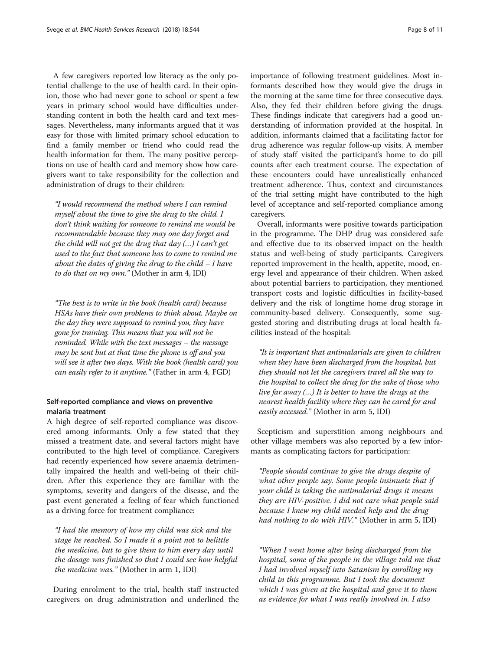A few caregivers reported low literacy as the only potential challenge to the use of health card. In their opinion, those who had never gone to school or spent a few years in primary school would have difficulties understanding content in both the health card and text messages. Nevertheless, many informants argued that it was easy for those with limited primary school education to find a family member or friend who could read the health information for them. The many positive perceptions on use of health card and memory show how caregivers want to take responsibility for the collection and administration of drugs to their children:

"I would recommend the method where I can remind myself about the time to give the drug to the child. I don't think waiting for someone to remind me would be recommendable because they may one day forget and the child will not get the drug that day (…) I can't get used to the fact that someone has to come to remind me about the dates of giving the drug to the child  $-I$  have to do that on my own." (Mother in arm 4, IDI)

"The best is to write in the book (health card) because HSAs have their own problems to think about. Maybe on the day they were supposed to remind you, they have gone for training. This means that you will not be reminded. While with the text messages – the message may be sent but at that time the phone is off and you will see it after two days. With the book (health card) you can easily refer to it anytime." (Father in arm 4, FGD)

# Self-reported compliance and views on preventive malaria treatment

A high degree of self-reported compliance was discovered among informants. Only a few stated that they missed a treatment date, and several factors might have contributed to the high level of compliance. Caregivers had recently experienced how severe anaemia detrimentally impaired the health and well-being of their children. After this experience they are familiar with the symptoms, severity and dangers of the disease, and the past event generated a feeling of fear which functioned as a driving force for treatment compliance:

"I had the memory of how my child was sick and the stage he reached. So I made it a point not to belittle the medicine, but to give them to him every day until the dosage was finished so that I could see how helpful the medicine was." (Mother in arm 1, IDI)

During enrolment to the trial, health staff instructed caregivers on drug administration and underlined the importance of following treatment guidelines. Most informants described how they would give the drugs in the morning at the same time for three consecutive days. Also, they fed their children before giving the drugs. These findings indicate that caregivers had a good understanding of information provided at the hospital. In addition, informants claimed that a facilitating factor for drug adherence was regular follow-up visits. A member of study staff visited the participant's home to do pill counts after each treatment course. The expectation of these encounters could have unrealistically enhanced treatment adherence. Thus, context and circumstances of the trial setting might have contributed to the high level of acceptance and self-reported compliance among caregivers.

Overall, informants were positive towards participation in the programme. The DHP drug was considered safe and effective due to its observed impact on the health status and well-being of study participants. Caregivers reported improvement in the health, appetite, mood, energy level and appearance of their children. When asked about potential barriers to participation, they mentioned transport costs and logistic difficulties in facility-based delivery and the risk of longtime home drug storage in community-based delivery. Consequently, some suggested storing and distributing drugs at local health facilities instead of the hospital:

"It is important that antimalarials are given to children when they have been discharged from the hospital, but they should not let the caregivers travel all the way to the hospital to collect the drug for the sake of those who live far away (…) It is better to have the drugs at the nearest health facility where they can be cared for and easily accessed." (Mother in arm 5, IDI)

Scepticism and superstition among neighbours and other village members was also reported by a few informants as complicating factors for participation:

"People should continue to give the drugs despite of what other people say. Some people insinuate that if your child is taking the antimalarial drugs it means they are HIV-positive. I did not care what people said because I knew my child needed help and the drug had nothing to do with HIV." (Mother in arm 5, IDI)

"When I went home after being discharged from the hospital, some of the people in the village told me that I had involved myself into Satanism by enrolling my child in this programme. But I took the document which I was given at the hospital and gave it to them as evidence for what I was really involved in. I also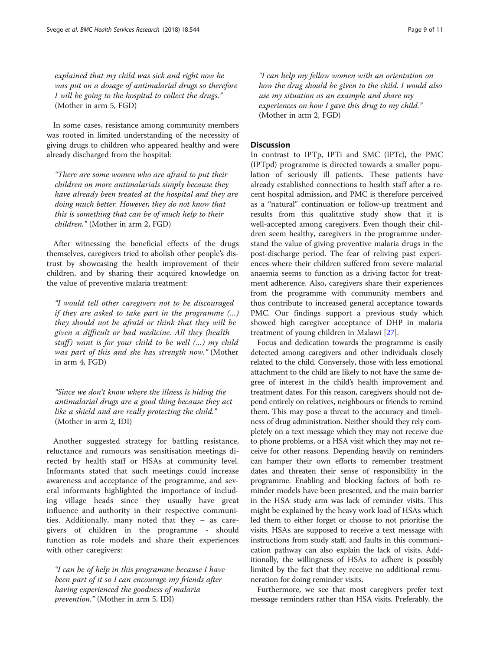explained that my child was sick and right now he was put on a dosage of antimalarial drugs so therefore I will be going to the hospital to collect the drugs." (Mother in arm 5, FGD)

In some cases, resistance among community members was rooted in limited understanding of the necessity of giving drugs to children who appeared healthy and were already discharged from the hospital:

"There are some women who are afraid to put their children on more antimalarials simply because they have already been treated at the hospital and they are doing much better. However, they do not know that this is something that can be of much help to their children." (Mother in arm 2, FGD)

After witnessing the beneficial effects of the drugs themselves, caregivers tried to abolish other people's distrust by showcasing the health improvement of their children, and by sharing their acquired knowledge on the value of preventive malaria treatment:

"I would tell other caregivers not to be discouraged if they are asked to take part in the programme (…) they should not be afraid or think that they will be given a difficult or bad medicine. All they (health staff) want is for your child to be well  $(...)$  my child was part of this and she has strength now." (Mother in arm 4, FGD)

"Since we don't know where the illness is hiding the antimalarial drugs are a good thing because they act like a shield and are really protecting the child." (Mother in arm 2, IDI)

Another suggested strategy for battling resistance, reluctance and rumours was sensitisation meetings directed by health staff or HSAs at community level. Informants stated that such meetings could increase awareness and acceptance of the programme, and several informants highlighted the importance of including village heads since they usually have great influence and authority in their respective communities. Additionally, many noted that they – as caregivers of children in the programme - should function as role models and share their experiences with other caregivers:

"I can be of help in this programme because I have been part of it so I can encourage my friends after having experienced the goodness of malaria prevention." (Mother in arm 5, IDI)

"I can help my fellow women with an orientation on how the drug should be given to the child. I would also use my situation as an example and share my experiences on how I gave this drug to my child." (Mother in arm 2, FGD)

# **Discussion**

In contrast to IPTp, IPTi and SMC (IPTc), the PMC (IPTpd) programme is directed towards a smaller population of seriously ill patients. These patients have already established connections to health staff after a recent hospital admission, and PMC is therefore perceived as a "natural" continuation or follow-up treatment and results from this qualitative study show that it is well-accepted among caregivers. Even though their children seem healthy, caregivers in the programme understand the value of giving preventive malaria drugs in the post-discharge period. The fear of reliving past experiences where their children suffered from severe malarial anaemia seems to function as a driving factor for treatment adherence. Also, caregivers share their experiences from the programme with community members and thus contribute to increased general acceptance towards PMC. Our findings support a previous study which showed high caregiver acceptance of DHP in malaria treatment of young children in Malawi [[27\]](#page-10-0).

Focus and dedication towards the programme is easily detected among caregivers and other individuals closely related to the child. Conversely, those with less emotional attachment to the child are likely to not have the same degree of interest in the child's health improvement and treatment dates. For this reason, caregivers should not depend entirely on relatives, neighbours or friends to remind them. This may pose a threat to the accuracy and timeliness of drug administration. Neither should they rely completely on a text message which they may not receive due to phone problems, or a HSA visit which they may not receive for other reasons. Depending heavily on reminders can hamper their own efforts to remember treatment dates and threaten their sense of responsibility in the programme. Enabling and blocking factors of both reminder models have been presented, and the main barrier in the HSA study arm was lack of reminder visits. This might be explained by the heavy work load of HSAs which led them to either forget or choose to not prioritise the visits. HSAs are supposed to receive a text message with instructions from study staff, and faults in this communication pathway can also explain the lack of visits. Additionally, the willingness of HSAs to adhere is possibly limited by the fact that they receive no additional remuneration for doing reminder visits.

Furthermore, we see that most caregivers prefer text message reminders rather than HSA visits. Preferably, the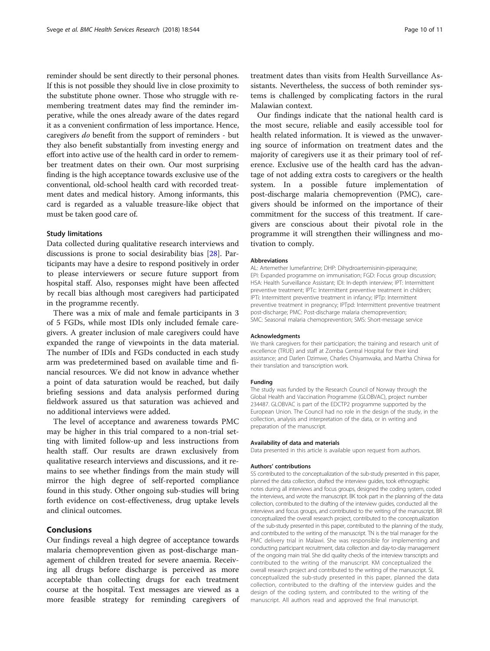reminder should be sent directly to their personal phones. If this is not possible they should live in close proximity to the substitute phone owner. Those who struggle with remembering treatment dates may find the reminder imperative, while the ones already aware of the dates regard it as a convenient confirmation of less importance. Hence, caregivers do benefit from the support of reminders - but they also benefit substantially from investing energy and effort into active use of the health card in order to remember treatment dates on their own. Our most surprising finding is the high acceptance towards exclusive use of the conventional, old-school health card with recorded treatment dates and medical history. Among informants, this card is regarded as a valuable treasure-like object that must be taken good care of.

#### Study limitations

Data collected during qualitative research interviews and discussions is prone to social desirability bias [[28](#page-10-0)]. Participants may have a desire to respond positively in order to please interviewers or secure future support from hospital staff. Also, responses might have been affected by recall bias although most caregivers had participated in the programme recently.

There was a mix of male and female participants in 3 of 5 FGDs, while most IDIs only included female caregivers. A greater inclusion of male caregivers could have expanded the range of viewpoints in the data material. The number of IDIs and FGDs conducted in each study arm was predetermined based on available time and financial resources. We did not know in advance whether a point of data saturation would be reached, but daily briefing sessions and data analysis performed during fieldwork assured us that saturation was achieved and no additional interviews were added.

The level of acceptance and awareness towards PMC may be higher in this trial compared to a non-trial setting with limited follow-up and less instructions from health staff. Our results are drawn exclusively from qualitative research interviews and discussions, and it remains to see whether findings from the main study will mirror the high degree of self-reported compliance found in this study. Other ongoing sub-studies will bring forth evidence on cost-effectiveness, drug uptake levels and clinical outcomes.

# Conclusions

Our findings reveal a high degree of acceptance towards malaria chemoprevention given as post-discharge management of children treated for severe anaemia. Receiving all drugs before discharge is perceived as more acceptable than collecting drugs for each treatment course at the hospital. Text messages are viewed as a more feasible strategy for reminding caregivers of treatment dates than visits from Health Surveillance Assistants. Nevertheless, the success of both reminder systems is challenged by complicating factors in the rural Malawian context.

Our findings indicate that the national health card is the most secure, reliable and easily accessible tool for health related information. It is viewed as the unwavering source of information on treatment dates and the majority of caregivers use it as their primary tool of reference. Exclusive use of the health card has the advantage of not adding extra costs to caregivers or the health system. In a possible future implementation of post-discharge malaria chemoprevention (PMC), caregivers should be informed on the importance of their commitment for the success of this treatment. If caregivers are conscious about their pivotal role in the programme it will strengthen their willingness and motivation to comply.

#### Abbreviations

AL: Artemether lumefantrine; DHP: Dihydroartemisinin-piperaquine; EPI: Expanded programme on immunisation; FGD: Focus group discussion; HSA: Health Surveillance Assistant; IDI: In-depth interview; IPT: Intermittent preventive treatment; IPTc: Intermittent preventive treatment in children; IPTi: Intermittent preventive treatment in infancy; IPTp: Intermittent preventive treatment in pregnancy; IPTpd: Intermittent preventive treatment post-discharge; PMC: Post-discharge malaria chemoprevention; SMC: Seasonal malaria chemoprevention; SMS: Short-message service

#### Acknowledgments

We thank caregivers for their participation; the training and research unit of excellence (TRUE) and staff at Zomba Central Hospital for their kind assistance; and Darlen Dzimwe, Charles Chiyamwaka, and Martha Chirwa for their translation and transcription work.

#### Funding

The study was funded by the Research Council of Norway through the Global Health and Vaccination Programme (GLOBVAC), project number 234487. GLOBVAC is part of the EDCTP2 programme supported by the European Union. The Council had no role in the design of the study, in the collection, analysis and interpretation of the data, or in writing and preparation of the manuscript.

#### Availability of data and materials

Data presented in this article is available upon request from authors.

#### Authors' contributions

SS contributed to the conceptualization of the sub-study presented in this paper, planned the data collection, drafted the interview guides, took ethnographic notes during all interviews and focus groups, designed the coding system, coded the interviews, and wrote the manuscript. BK took part in the planning of the data collection, contributed to the drafting of the interview guides, conducted all the interviews and focus groups, and contributed to the writing of the manuscript. BR conceptualized the overall research project, contributed to the conceptualization of the sub-study presented in this paper, contributed to the planning of the study, and contributed to the writing of the manuscript. TN is the trial manager for the PMC delivery trial in Malawi. She was responsible for implementing and conducting participant recruitment, data collection and day-to-day management of the ongoing main trial. She did quality checks of the interview transcripts and contributed to the writing of the manuscript. KM conceptualized the overall research project and contributed to the writing of the manuscript. SL conceptualized the sub-study presented in this paper, planned the data collection, contributed to the drafting of the interview guides and the design of the coding system, and contributed to the writing of the manuscript. All authors read and approved the final manuscript.